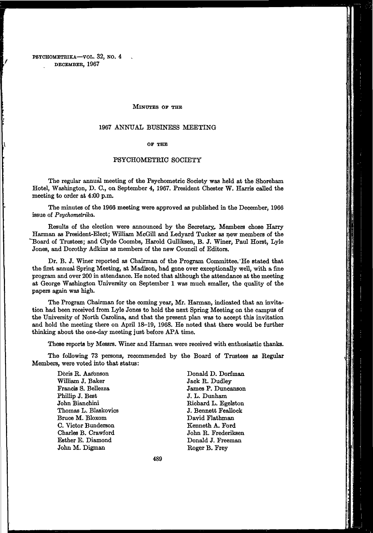#### MINUTES OF THE

#### 1967 ANNUAL BUSINESS MEETING

#### OF THE

### PSYCHOMETRIC SOCIETY

The regular annual meeting of the Psychometric Society was held at the Shoreham Hotel, Washington, D. C, on September 4, 1967. President Chester W. Harris called the meeting to order at 4:00 p.m.

The minutes of the 1966 meeting were approved as published in the December, 1966 issue of *Psychometrika.* 

Results of the election were announced by the Secretary.. Members chose Harry Harman as President-Elect; William McGill and Ledyard Tucker as new members of the "Board of Trustees; and Clyde Coombs, Harold Gulliksen, B. J. Winer, Paul Horst, Lyle Jones, and Dorothy Adkins as members of the new Council of Editors.

Dr. B. J. Winer reported as Chairman of the Program Committee. "He stated that the first annual Spring Meeting, at Madison, had gone over exceptionally well, with a fine program and over 200 in attendance. He noted that although the attendance at the meeting at George Washington University on September 1 was much smaller, the quality of the papers again was high.

The Program Chairman for the coming year, Mr. Harman, indicated that an invitation had been received from Lyle Jones to hold the next Spring Meeting on the campus of the University of North Carolina, and that the present plan was to accept this invitation and hold the meeting there on April 18-19, 1968. He noted that there would be further thinking about the one-day meeting just before APA time.

These reports by Messrs. Winer and Harman were received with enthusiastic thanks.

The following 73 persons, recommended by the Board of Trustees as Regular Members, were voted into that status:

> Doris R. Aaronson William J. Baker Francis S. Bellezza Phillip J. Best John Bianchini Thomas L. Blaskovics Bruce M. Bloxom C. Victor Bunderson Charles B. Crawford Esther E. Diamond John M. Digman

Donald D. Dorfman Jack R. Dudley James P. Duncanson J. L. Dunham Richard L. Egelston J. Bennett Feallock David Flathman Kenneth A. Ford John R. Frederiksen Donald J. Freeman Roger B. Frey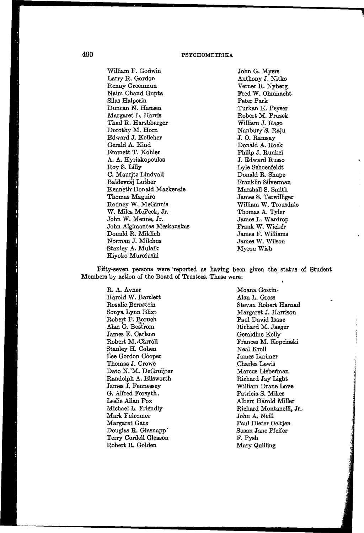## 490 PSYCHOMETRIKA

William F. Godwin Larry R. Gordon Renny Greenmun Naim Chand Gupta Silas Halperin Duncan N. Hansen Margaret L. Harris Thad R. Harshbarger Dorothy M. Horn Edward J. Kelleher Gerald A. Kind Emmett T. Kohler A. A. Kyriakopoulos Roy S. Lilly C. Mauritz Lindvall Baldevraj Luther Kenneth-Donald Mackenzie Thomas Maguire Rodney W. McGinnis W. Miles McPeek, Jr. John W. Menne, Jr. John Algimantas Meskauskas Donald R. Miklich Norman J. Milchus Stanley A. Mulaik Kiyoko Murofushi

John G. Myers Anthony J. Nitko Verner R. Nyberg Fred W. Ohnmacht Peter Park Turkan K. Peyser Robert M. Pruzek William J. Rago Nanbury'S. Raju J. O. Ramsay Donald A. Rock Philip J. Runkel J. Edward Russo Lyle Schoenfeldt Donald R. Shupe Franklin Silverman Marshall S. Smith James S. Terwilliger William W. Trousdale Thomas A. Tyler James L. Wardrop Frank W. Wicker James F. Williams James W. Wilson Myron Wish

Fifty-seven persons were 'reported as having been given the status of Student Members by action of the Board of Trustees. These were:

> R. A. Avner Harold W. Bartlett Rosalie Bernstein Sonya Lynn Blixt Robert F. Boruch Alan G. Bostrom James E. Carlson Robert M. Carroll Stanley H. Cohen Lee Gordon Cooper Thomas J. Crowe Dato N.'M. DeGruijter Randolph A. Ellsworth James J. Fennessey G. Alfred Forsyth, Leslie Allan Fox Michael L. Friendly Mark Fulcomer Margaret Gatz Douglas R. Glasnapp\* Terry Cordell Gleason Robert R. Golden

Moana Gostin-Alan L. Gross Stevan Robert Harnad Margaret J. Harrison Paul David Isaac Richard M. Jaeger Geraldine Kelly Frances M. Kopcinski Neal Kroll James Larimer Charles Lewis Marcus Lieberman Richard Jay Light William Drane Love Patricia S. Mikes Albert Harold Miller Richard Montanelli, Jr.. John A. Neill Paul Dieter Oeltjen Susan Jane Pfeifer F. Pysh Mary Quilling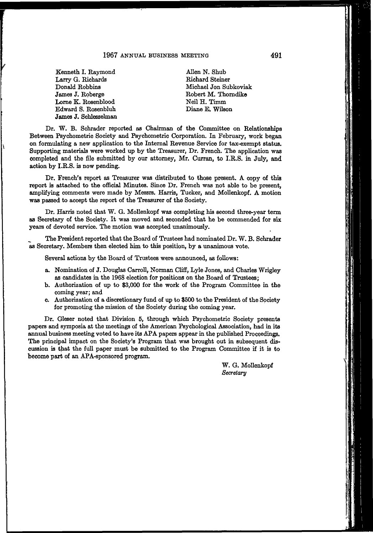### 1967 ANNUAL BUSINESS MEETING 491

Kenneth I. Raymond Larry G. Richards Donald Robbins James J. Roberge Lome K. Rosenblood Edward S. Rosenbluh James J. Schlesselman

Allen N. Shub Richard Steiner Michael Jon Subkoviak Robert M. Thorndike Neil H. Timm Diane E. Wilson

Dr. W. B. Schrader reported as Chairman of the Committee on Relationships Between Psychometric Society and Psychometric Corporation. In February, work began on formulating a new application to the Internal Revenue Service for tax-exempt status. Supporting materials were worked up by the Treasurer, Dr. French. The application was completed and the file submitted by our attorney, Mr. Curran, to I.R.S. in July, and action by I.R.S. is now pending.

Dr. French's report as Treasurer was distributed to those present. A copy of this report is attached to the official Minutes. Since Dr. French was not able to be present, amplifying comments were made by Messrs. Harris, Tucker, and Mollenkopf. A motion was passed to accept the report of the Treasurer of the Society.

Dr. Harris noted that W. G. Mollenkopf was completing his second three-year term as Secretary of the Society. It was moved and seconded that he be commended for six years of devoted service. The motion was accepted unanimously.

The President reported that the Board of Trustees had nominated Dr. W. B. Schrader as Secretary. Members then elected him to this position, by a unanimous vote.

Several actions by the Board of Trustees were announced, as follows:

- a. Nomination of J. Douglas Carroll, Norman Cliff, Lyle Jones, and Charles Wrigley as candidates in the 1968 election for positions on the Board of Trustees;
- b. Authorization of up to \$3,000 for the work of the Program Committee in the coming year; and
- c. Authorization of a discretionary fund of up to \$500 to the President of the Society for promoting the mission of the Society during the coming year.

Dr. Gleser noted that Division 5, through which Psychometric Society presents papers and symposia at the meetings of the American Psychological Association, had in its annual business meeting voted to have its APA papers appear in the published Proceedings. The principal impact on the Society's Program that was brought out in subsequent discussion is that the full paper must be submitted to the Program Committee if it is to become part of an APA-sponsored program.

> W. G. Mollenkopf *Secretary*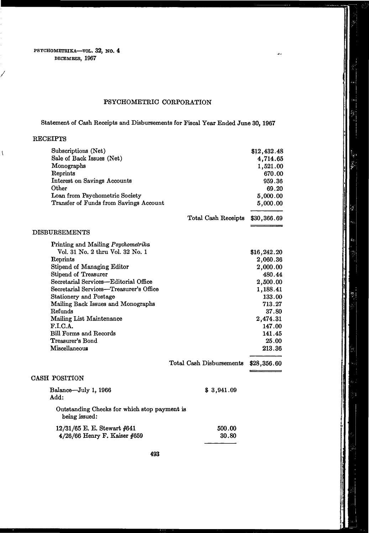PSYCHOMETRIKA—VOL. 32, NO. 4 DECEMBER, 1967

# PSYCHOMETRIC CORPORATION

Statement of Cash Receipts and Disbursements for Fiscal Year Ended June 30,1967

## RECEIPTS

**/** 

 $\overline{\mathcal{N}}$ 

| Subscriptions (Net)<br>Sale of Back Issues (Net)<br>Monographs<br>Reprints<br><b>Interest on Savings Accounts</b><br>Other<br>Loan from Psychometric Society<br>Transfer of Funds from Savings Account                                                                                                                                                                                                                |                          | \$12,432.48<br>4,714.65<br>1,521.00<br>670.00<br>959.36<br>69.20<br>5,000.00<br>5,000.00                                                                             |
|-----------------------------------------------------------------------------------------------------------------------------------------------------------------------------------------------------------------------------------------------------------------------------------------------------------------------------------------------------------------------------------------------------------------------|--------------------------|----------------------------------------------------------------------------------------------------------------------------------------------------------------------|
|                                                                                                                                                                                                                                                                                                                                                                                                                       | Total Cash Receipts      | \$30,366.69                                                                                                                                                          |
| <b>DISBURSEMENTS</b>                                                                                                                                                                                                                                                                                                                                                                                                  |                          |                                                                                                                                                                      |
| Printing and Mailing Psychometrika<br>Vol. 31 No. 2 thru Vol. 32 No. 1<br>Reprints<br>Stipend of Managing Editor<br>Stipend of Treasurer<br>Secretarial Services—Editorial Office<br>Secretarial Services-Treasurer's Office<br>Stationery and Postage<br>Mailing Back Issues and Monographs<br>Refunds<br>Mailing List Maintenance<br>F.I.C.A.<br><b>Bill Forms and Records</b><br>Treasurer's Bond<br>Miscellaneous | Total Cash Disbursements | \$16,242.20<br>2,060.36<br>2,000.00<br>480.44<br>2,500.00<br>1,188.41<br>133.00<br>713.27<br>37.80<br>2,474.31<br>147.00<br>141.45<br>25.00<br>213.36<br>\$28,356.60 |
| CASH POSITION                                                                                                                                                                                                                                                                                                                                                                                                         |                          |                                                                                                                                                                      |
| Balance-July 1, 1966<br>Add:                                                                                                                                                                                                                                                                                                                                                                                          | \$3,941.09               |                                                                                                                                                                      |
| Outstanding Checks for which stop payment is<br>being issued:                                                                                                                                                                                                                                                                                                                                                         |                          |                                                                                                                                                                      |
| 12/31/65 E. E. Stewart #641<br>4/26/66 Henry F. Kaiser #659                                                                                                                                                                                                                                                                                                                                                           | 500.00<br>30.80          |                                                                                                                                                                      |

 $\frac{1}{2}$ 

31

نے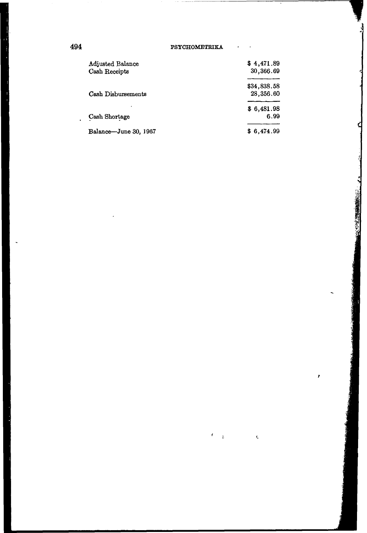494 PSYCHOMETBIKA

 $\epsilon$  $\ddot{\cdot}$ 

 $\bar{\zeta}$ 

L.

Ĵ

**1970年 1980年 1月** 

ł

| <b>Adjusted Balance</b><br>Cash Receipts | \$4,471.89<br>30,366.69  |
|------------------------------------------|--------------------------|
| Cash Disbursements                       | \$34,838.58<br>28,356.60 |
| Cash Shortage                            | \$6,481.98<br>6.99       |
| Balance-June 30, 1967                    | \$6.474.99               |